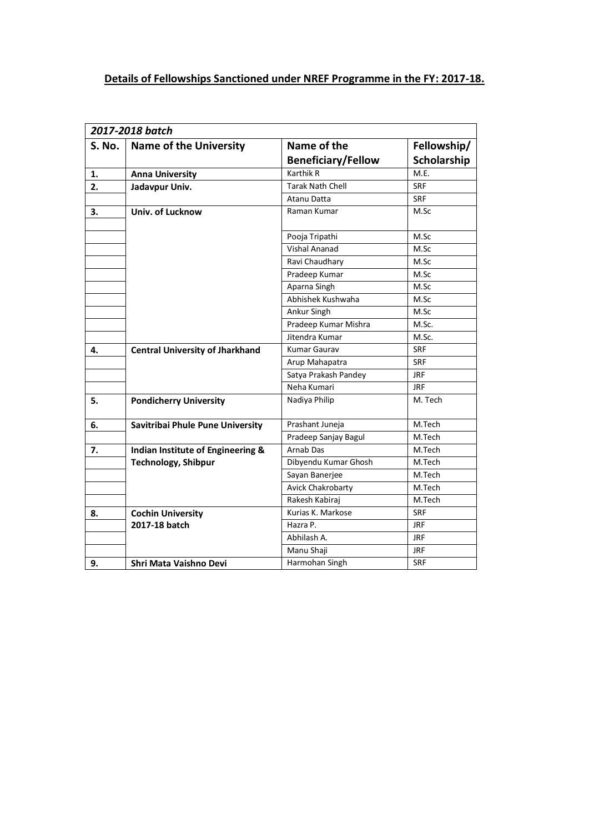## **Details of Fellowships Sanctioned under NREF Programme in the FY: 2017-18.**

|        | 2017-2018 batch                        |                           |             |  |  |
|--------|----------------------------------------|---------------------------|-------------|--|--|
| S. No. | <b>Name of the University</b>          | Name of the               | Fellowship/ |  |  |
|        |                                        | <b>Beneficiary/Fellow</b> | Scholarship |  |  |
| 1.     | <b>Anna University</b>                 | <b>Karthik R</b>          | M.E.        |  |  |
| 2.     | Jadavpur Univ.                         | <b>Tarak Nath Chell</b>   | <b>SRF</b>  |  |  |
|        |                                        | Atanu Datta               | <b>SRF</b>  |  |  |
| 3.     | Univ. of Lucknow                       | Raman Kumar               | M.Sc        |  |  |
|        |                                        | Pooja Tripathi            | M.Sc        |  |  |
|        |                                        | <b>Vishal Ananad</b>      | M.Sc        |  |  |
|        |                                        | Ravi Chaudhary            | M.Sc        |  |  |
|        |                                        | Pradeep Kumar             | M.Sc        |  |  |
|        |                                        | Aparna Singh              | M.Sc        |  |  |
|        |                                        | Abhishek Kushwaha         | M.Sc        |  |  |
|        |                                        | Ankur Singh               | M.Sc        |  |  |
|        |                                        | Pradeep Kumar Mishra      | M.Sc.       |  |  |
|        |                                        | Jitendra Kumar            | M.Sc.       |  |  |
| 4.     | <b>Central University of Jharkhand</b> | <b>Kumar Gaurav</b>       | <b>SRF</b>  |  |  |
|        |                                        | Arup Mahapatra            | <b>SRF</b>  |  |  |
|        |                                        | Satya Prakash Pandey      | <b>JRF</b>  |  |  |
|        |                                        | Neha Kumari               | <b>JRF</b>  |  |  |
| 5.     | <b>Pondicherry University</b>          | Nadiya Philip             | M. Tech     |  |  |
| 6.     | Savitribai Phule Pune University       | Prashant Juneja           | M.Tech      |  |  |
|        |                                        | Pradeep Sanjay Bagul      | M.Tech      |  |  |
| 7.     | Indian Institute of Engineering &      | Arnab Das                 | M.Tech      |  |  |
|        | <b>Technology, Shibpur</b>             | Dibyendu Kumar Ghosh      | M.Tech      |  |  |
|        |                                        | Sayan Banerjee            | M.Tech      |  |  |
|        |                                        | <b>Avick Chakrobarty</b>  | M.Tech      |  |  |
|        |                                        | Rakesh Kabirai            | M.Tech      |  |  |
| 8.     | <b>Cochin University</b>               | Kurias K. Markose         | <b>SRF</b>  |  |  |
|        | 2017-18 batch                          | Hazra P.                  | <b>JRF</b>  |  |  |
|        |                                        | Abhilash A.               | <b>JRF</b>  |  |  |
|        |                                        | Manu Shaji                | <b>JRF</b>  |  |  |
| 9.     | Shri Mata Vaishno Devi                 | Harmohan Singh            | <b>SRF</b>  |  |  |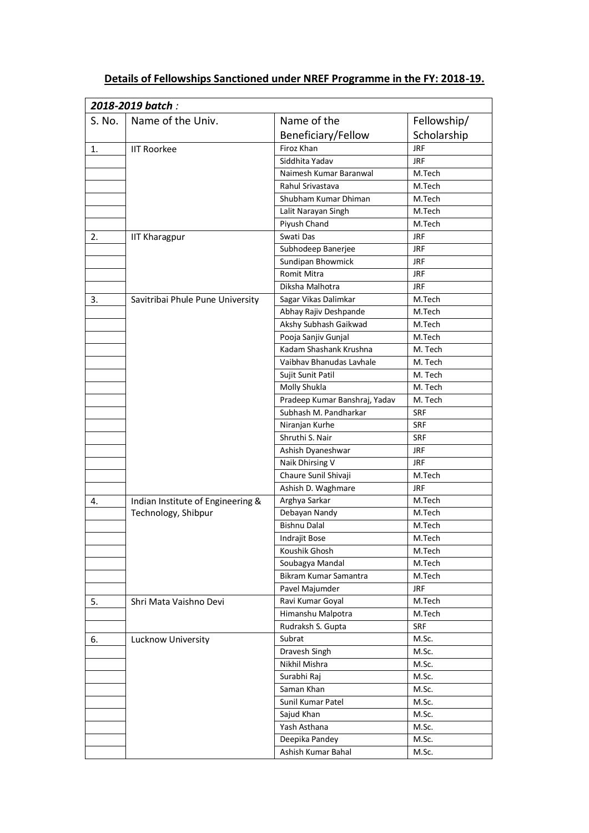| 2018-2019 batch: |                                   |                               |             |  |  |
|------------------|-----------------------------------|-------------------------------|-------------|--|--|
| S. No.           | Name of the Univ.                 | Name of the                   | Fellowship/ |  |  |
|                  |                                   | Beneficiary/Fellow            | Scholarship |  |  |
| 1.               | <b>IIT Roorkee</b>                | Firoz Khan                    | <b>JRF</b>  |  |  |
|                  |                                   | Siddhita Yadav                | <b>JRF</b>  |  |  |
|                  |                                   | Naimesh Kumar Baranwal        | M.Tech      |  |  |
|                  |                                   | Rahul Srivastava              | M.Tech      |  |  |
|                  |                                   | Shubham Kumar Dhiman          | M.Tech      |  |  |
|                  |                                   | Lalit Narayan Singh           | M.Tech      |  |  |
|                  |                                   | Piyush Chand                  | M.Tech      |  |  |
| 2.               | <b>IIT Kharagpur</b>              | Swati Das                     | <b>JRF</b>  |  |  |
|                  |                                   | Subhodeep Banerjee            | <b>JRF</b>  |  |  |
|                  |                                   | Sundipan Bhowmick             | JRF.        |  |  |
|                  |                                   | Romit Mitra                   | <b>JRF</b>  |  |  |
|                  |                                   | Diksha Malhotra               | <b>JRF</b>  |  |  |
| 3.               | Savitribai Phule Pune University  | Sagar Vikas Dalimkar          | M.Tech      |  |  |
|                  |                                   | Abhay Rajiv Deshpande         | M.Tech      |  |  |
|                  |                                   | Akshy Subhash Gaikwad         | M.Tech      |  |  |
|                  |                                   | Pooja Sanjiv Gunjal           | M.Tech      |  |  |
|                  |                                   | Kadam Shashank Krushna        | M. Tech     |  |  |
|                  |                                   | Vaibhav Bhanudas Lavhale      | M. Tech     |  |  |
|                  |                                   | Sujit Sunit Patil             | M. Tech     |  |  |
|                  |                                   | Molly Shukla                  | M. Tech     |  |  |
|                  |                                   | Pradeep Kumar Banshraj, Yadav | M. Tech     |  |  |
|                  |                                   | Subhash M. Pandharkar         | <b>SRF</b>  |  |  |
|                  |                                   | Niranjan Kurhe                | <b>SRF</b>  |  |  |
|                  |                                   | Shruthi S. Nair               | <b>SRF</b>  |  |  |
|                  |                                   | Ashish Dyaneshwar             | <b>JRF</b>  |  |  |
|                  |                                   | Naik Dhirsing V               | <b>JRF</b>  |  |  |
|                  |                                   | Chaure Sunil Shivaji          | M.Tech      |  |  |
|                  |                                   | Ashish D. Waghmare            | JRF         |  |  |
| 4.               | Indian Institute of Engineering & | Arghya Sarkar                 | M.Tech      |  |  |
|                  | Technology, Shibpur               | Debayan Nandy                 | M.Tech      |  |  |
|                  |                                   | <b>Bishnu Dalal</b>           | M.Tech      |  |  |
|                  |                                   | Indrajit Bose                 | M.Tech      |  |  |
|                  |                                   | Koushik Ghosh                 | M.Tech      |  |  |
|                  |                                   | Soubagya Mandal               | M.Tech      |  |  |
|                  |                                   | Bikram Kumar Samantra         | M.Tech      |  |  |
|                  |                                   | Pavel Majumder                | <b>JRF</b>  |  |  |
| 5.               | Shri Mata Vaishno Devi            | Ravi Kumar Goyal              | M.Tech      |  |  |
|                  |                                   | Himanshu Malpotra             | M.Tech      |  |  |
|                  |                                   | Rudraksh S. Gupta             | <b>SRF</b>  |  |  |
| 6.               | Lucknow University                | Subrat                        | M.Sc.       |  |  |
|                  |                                   | Dravesh Singh                 | M.Sc.       |  |  |
|                  |                                   | Nikhil Mishra                 | M.Sc.       |  |  |
|                  |                                   | Surabhi Raj                   | M.Sc.       |  |  |
|                  |                                   | Saman Khan                    | M.Sc.       |  |  |
|                  |                                   | Sunil Kumar Patel             | M.Sc.       |  |  |
|                  |                                   | Sajud Khan                    | M.Sc.       |  |  |
|                  |                                   | Yash Asthana                  | M.Sc.       |  |  |
|                  |                                   | Deepika Pandey                | M.Sc.       |  |  |
|                  |                                   | Ashish Kumar Bahal            | M.Sc.       |  |  |

## **Details of Fellowships Sanctioned under NREF Programme in the FY: 2018-19.**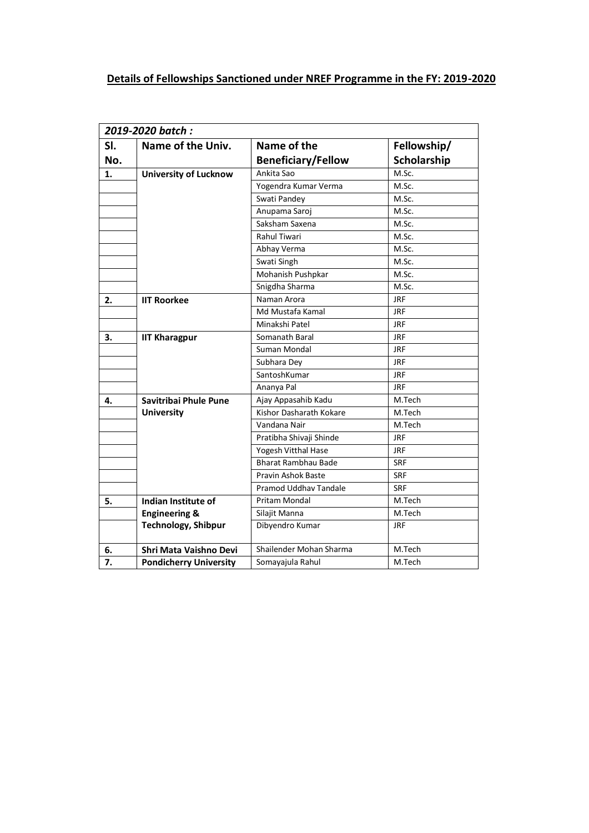## **Details of Fellowships Sanctioned under NREF Programme in the FY: 2019-2020**

| 2019-2020 batch:                   |  |                                |                    |  |
|------------------------------------|--|--------------------------------|--------------------|--|
| SI.<br>Name of the Univ.           |  | Name of the                    | Fellowship/        |  |
| No.                                |  | <b>Beneficiary/Fellow</b>      | <b>Scholarship</b> |  |
| <b>University of Lucknow</b><br>1. |  | Ankita Sao                     | M.Sc.              |  |
|                                    |  | Yogendra Kumar Verma           | M.Sc.              |  |
|                                    |  | Swati Pandey                   | M.Sc.              |  |
|                                    |  | Anupama Saroj                  | M.Sc.              |  |
|                                    |  | Saksham Saxena                 | M.Sc.              |  |
|                                    |  | <b>Rahul Tiwari</b>            | M.Sc.              |  |
|                                    |  | Abhay Verma                    | M.Sc.              |  |
|                                    |  | Swati Singh                    | M.Sc.              |  |
|                                    |  | Mohanish Pushpkar              | M.Sc.              |  |
|                                    |  | Snigdha Sharma                 | M.Sc.              |  |
| <b>IIT Roorkee</b><br>2.           |  | Naman Arora                    | <b>JRF</b>         |  |
|                                    |  | Md Mustafa Kamal               | <b>JRF</b>         |  |
|                                    |  | Minakshi Patel                 | <b>JRF</b>         |  |
| 3.<br><b>IIT Kharagpur</b>         |  | Somanath Baral                 | <b>JRF</b>         |  |
|                                    |  | Suman Mondal                   | <b>JRF</b>         |  |
|                                    |  | Subhara Dey                    | <b>JRF</b>         |  |
|                                    |  | SantoshKumar                   | <b>JRF</b>         |  |
|                                    |  | Ananya Pal                     | <b>JRF</b>         |  |
| Savitribai Phule Pune<br>4.        |  | Ajay Appasahib Kadu            | M.Tech             |  |
| <b>University</b>                  |  | <b>Kishor Dasharath Kokare</b> | M.Tech             |  |
|                                    |  | Vandana Nair                   | M.Tech             |  |
|                                    |  | Pratibha Shivaji Shinde        | <b>JRF</b>         |  |
|                                    |  | Yogesh Vitthal Hase            | <b>JRF</b>         |  |
|                                    |  | Bharat Rambhau Bade            | <b>SRF</b>         |  |
|                                    |  | Pravin Ashok Baste             | <b>SRF</b>         |  |
|                                    |  | Pramod Uddhay Tandale          | <b>SRF</b>         |  |
| Indian Institute of<br>5.          |  | <b>Pritam Mondal</b>           | M.Tech             |  |
| <b>Engineering &amp;</b>           |  | Silajit Manna                  | M.Tech             |  |
| <b>Technology, Shibpur</b>         |  | Dibyendro Kumar                | <b>JRF</b>         |  |
| Shri Mata Vaishno Devi<br>6.       |  |                                |                    |  |
|                                    |  | Shailender Mohan Sharma        | M.Tech             |  |